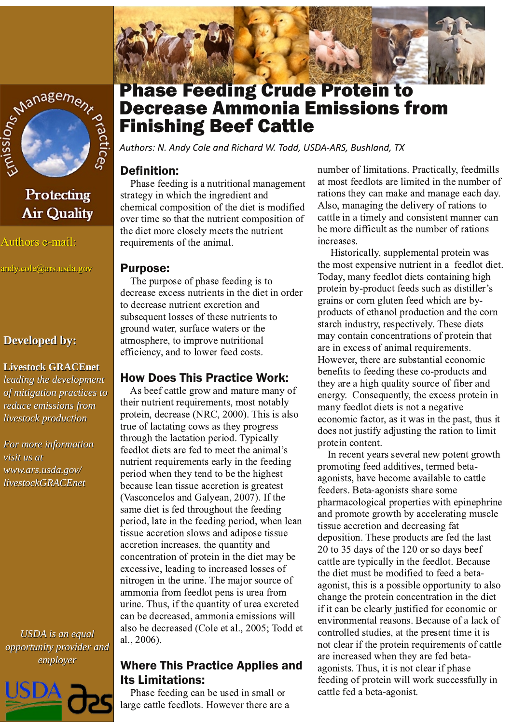

# Protecting **Air Quality**

Authors e-mail:

andy.cole@ars.usda.gov

#### **Developed by:**

# **Livestock GRACEnet** leading the development

of mitigation practices to reduce emissions from livestock production

For more information visit us at www.ars.usda.gov/ livestockGRACEnet

**USDA** is an equal opportunity provider and employer



# Phase Feeding Crude Protein to **Decrease Ammonia Emissions from Finishing Beef Cattle**

Authors: N. Andy Cole and Richard W. Todd, USDA-ARS, Bushland, TX

# **Definition:**

Phase feeding is a nutritional management strategy in which the ingredient and chemical composition of the diet is modified over time so that the nutrient composition of the diet more closely meets the nutrient requirements of the animal.

#### **Purpose:**

The purpose of phase feeding is to decrease excess nutrients in the diet in order to decrease nutrient excretion and subsequent losses of these nutrients to ground water, surface waters or the atmosphere, to improve nutritional efficiency, and to lower feed costs.

### **How Does This Practice Work:**

As beef cattle grow and mature many of their nutrient requirements, most notably protein, decrease (NRC, 2000). This is also true of lactating cows as they progress through the lactation period. Typically feedlot diets are fed to meet the animal's nutrient requirements early in the feeding period when they tend to be the highest because lean tissue accretion is greatest (Vasconcelos and Galyean, 2007). If the same diet is fed throughout the feeding period, late in the feeding period, when lean tissue accretion slows and adipose tissue accretion increases, the quantity and concentration of protein in the diet may be excessive, leading to increased losses of nitrogen in the urine. The major source of ammonia from feedlot pens is urea from urine. Thus, if the quantity of urea excreted can be decreased, ammonia emissions will also be decreased (Cole et al., 2005; Todd et al., 2006).

# **Where This Practice Applies and Its Limitations:**

Phase feeding can be used in small or large cattle feedlots. However there are a number of limitations. Practically, feedmills at most feedlots are limited in the number of rations they can make and manage each day. Also, managing the delivery of rations to cattle in a timely and consistent manner can be more difficult as the number of rations increases.

Historically, supplemental protein was the most expensive nutrient in a feedlot diet. Today, many feedlot diets containing high protein by-product feeds such as distiller's grains or corn gluten feed which are byproducts of ethanol production and the corn starch industry, respectively. These diets may contain concentrations of protein that are in excess of animal requirements. However, there are substantial economic benefits to feeding these co-products and they are a high quality source of fiber and energy. Consequently, the excess protein in many feedlot diets is not a negative economic factor, as it was in the past, thus it does not justify adjusting the ration to limit protein content.

In recent years several new potent growth promoting feed additives, termed betaagonists, have become available to cattle feeders. Beta-agonists share some pharmacological properties with epinephrine and promote growth by accelerating muscle tissue accretion and decreasing fat deposition. These products are fed the last 20 to 35 days of the 120 or so days beef cattle are typically in the feedlot. Because the diet must be modified to feed a betaagonist, this is a possible opportunity to also change the protein concentration in the diet if it can be clearly justified for economic or environmental reasons. Because of a lack of controlled studies, at the present time it is not clear if the protein requirements of cattle are increased when they are fed betaagonists. Thus, it is not clear if phase feeding of protein will work successfully in cattle fed a beta-agonist.